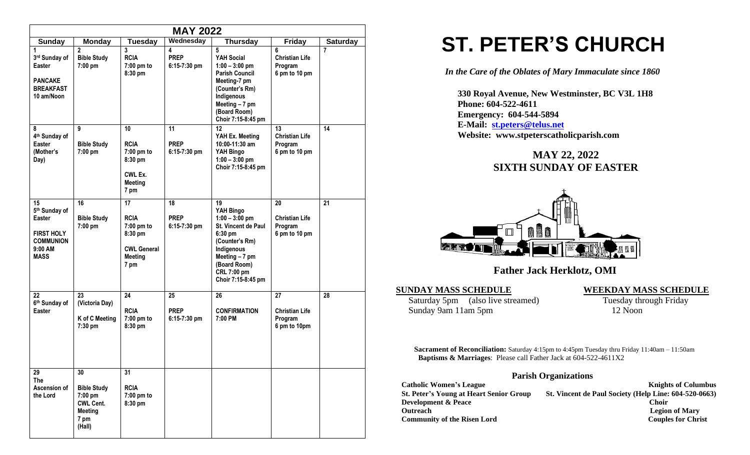|                                                                                                  |                                                                                             |                                                                                            | <b>MAY 2022</b>                     |                                                                                                                                                                                               |                                                         |                 |
|--------------------------------------------------------------------------------------------------|---------------------------------------------------------------------------------------------|--------------------------------------------------------------------------------------------|-------------------------------------|-----------------------------------------------------------------------------------------------------------------------------------------------------------------------------------------------|---------------------------------------------------------|-----------------|
| Sunday                                                                                           | <b>Monday</b>                                                                               | <b>Tuesday</b>                                                                             | Wednesday                           | <b>Thursday</b>                                                                                                                                                                               | <b>Friday</b>                                           | <b>Saturday</b> |
| 1<br>3rd Sunday of<br>Easter<br><b>PANCAKE</b><br><b>BREAKFAST</b><br>10 am/Noon                 | $\overline{2}$<br><b>Bible Study</b><br>7:00 pm                                             | 3<br><b>RCIA</b><br>$7:00$ pm to<br>8:30 pm                                                | 4<br><b>PREP</b><br>$6:15-7:30$ pm  | 5<br>YAH Social<br>$1:00 - 3:00$ pm<br><b>Parish Council</b><br>Meeting-7 pm<br>(Counter's Rm)<br>Indigenous<br>Meeting $-7$ pm<br>(Board Room)<br>Choir 7:15-8:45 pm                         | 6<br><b>Christian Life</b><br>Program<br>6 pm to 10 pm  | 7               |
| 8<br>4 <sup>th</sup> Sunday of<br><b>Easter</b><br>(Mother's<br>Day)                             | 9<br><b>Bible Study</b><br>7:00 pm                                                          | 10<br><b>RCIA</b><br>7:00 pm to<br>8:30 pm<br>CWL Ex.<br><b>Meeting</b><br>7 pm            | 11<br><b>PREP</b><br>$6:15-7:30$ pm | 12 <sup>2</sup><br>YAH Ex. Meeting<br>10:00-11:30 am<br>YAH Bingo<br>$1:00 - 3:00$ pm<br>Choir 7:15-8:45 pm                                                                                   | 13<br><b>Christian Life</b><br>Program<br>6 pm to 10 pm | 14              |
| 15<br>5th Sunday of<br>Easter<br><b>FIRST HOLY</b><br><b>COMMUNION</b><br>9:00 AM<br><b>MASS</b> | 16<br><b>Bible Study</b><br>7:00 pm                                                         | 17<br><b>RCIA</b><br>7:00 pm to<br>8:30 pm<br><b>CWL General</b><br><b>Meeting</b><br>7 pm | 18<br><b>PREP</b><br>$6:15-7:30$ pm | 19<br>YAH Bingo<br>$1:00 - 3:00$ pm<br><b>St. Vincent de Paul</b><br>$6:30$ pm<br>(Counter's Rm)<br>Indigenous<br>Meeting $-7$ pm<br>(Board Room)<br><b>CRL 7:00 pm</b><br>Choir 7:15-8:45 pm | 20<br><b>Christian Life</b><br>Program<br>6 pm to 10 pm | 21              |
| 22<br>6th Sunday of<br><b>Easter</b>                                                             | 23<br>(Victoria Day)<br>K of C Meeting<br>7:30 pm                                           | 24<br><b>RCIA</b><br>7:00 pm to<br>8:30 pm                                                 | 25<br><b>PREP</b><br>$6:15-7:30$ pm | 26<br><b>CONFIRMATION</b><br>7:00 PM                                                                                                                                                          | 27<br><b>Christian Life</b><br>Program<br>6 pm to 10pm  | 28              |
| 29<br><b>The</b><br>Ascension of<br>the Lord                                                     | 30<br><b>Bible Study</b><br>7:00 pm<br><b>CWL Cent.</b><br><b>Meeting</b><br>7 pm<br>(Hall) | $\overline{31}$<br><b>RCIA</b><br>7:00 pm to<br>8:30 pm                                    |                                     |                                                                                                                                                                                               |                                                         |                 |

# **ST. PETER'S CHURCH**

*In the Care of the Oblates of Mary Immaculate since 1860*

 **330 Royal Avenue, New Westminster, BC V3L 1H8 Phone: 604-522-4611 Emergency: 604-544-5894 E-Mail: [st.peters@telus.net](mailto:st.peters@telus.net) Website: www.stpeterscatholicparish.com**

## **MAY 22, 2022 SIXTH SUNDAY OF EASTER**



## **Father Jack Herklotz, OMI**

#### **SUNDAY MASS SCHEDULE WEEKDAY MASS SCHEDULE**

Saturday 5pm (also live streamed) Tuesday through Friday Sunday 9am 11am 5pm 12 Noon

**Sacrament of Reconciliation:** Saturday 4:15pm to 4:45pm Tuesday thru Friday 11:40am – 11:50am  **Baptisms & Marriages**: Please call Father Jack at 604-522-4611X2

#### **Parish Organizations**

| <b>Catholic Women's League</b>                 | <b>Knights of Columbus</b>                            |
|------------------------------------------------|-------------------------------------------------------|
| <b>St. Peter's Young at Heart Senior Group</b> | St. Vincent de Paul Society (Help Line: 604-520-0663) |
| <b>Development &amp; Peace</b>                 | <b>Choir</b>                                          |
| <b>Outreach</b>                                | <b>Legion of Mary</b>                                 |
| <b>Community of the Risen Lord</b>             | <b>Couples for Christ</b>                             |